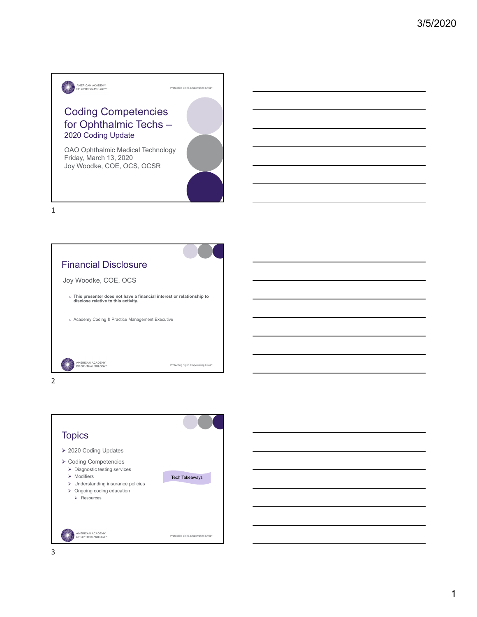



**Topics**  2020 Coding Updates  $\blacktriangleright$  Coding Competencies > Diagnostic testing services Tech Takeaways  $\triangleright$  Modifiers Understanding insurance policies  $\triangleright$  Ongoing coding education Resources AMERICAN ACADEMY<br>OF OPHTHALMOLOGY\* Protecting Sight. Empowering Lives.<sup>®</sup>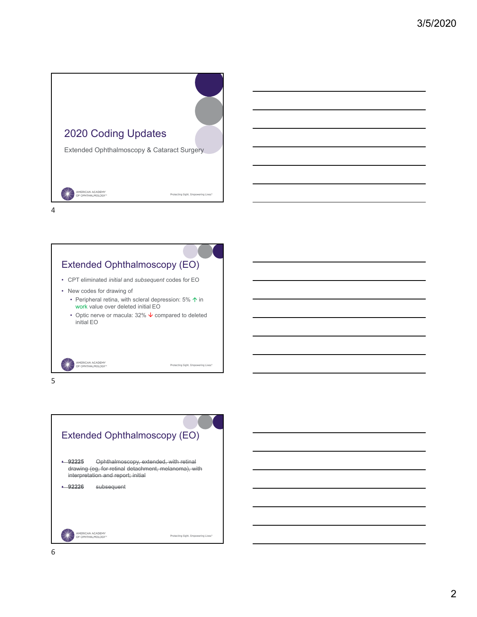



5

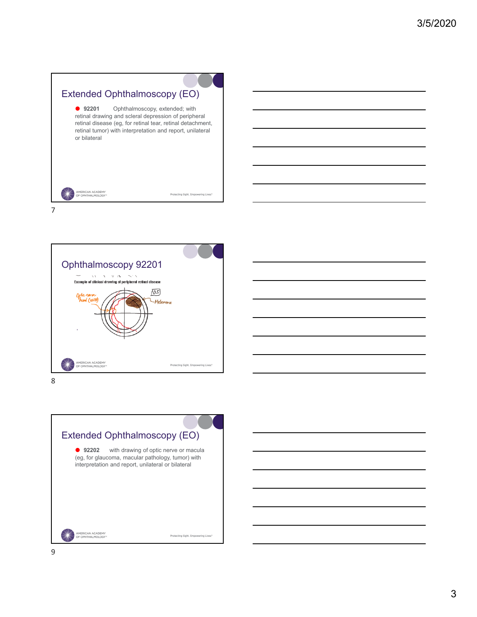| Extended Ophthalmoscopy (EO)                                                                                                                                                                             |                                                  |
|----------------------------------------------------------------------------------------------------------------------------------------------------------------------------------------------------------|--------------------------------------------------|
| 92201<br>retinal drawing and scleral depression of peripheral<br>retinal disease (eg, for retinal tear, retinal detachment,<br>retinal tumor) with interpretation and report, unilateral<br>or bilateral | Ophthalmoscopy, extended; with                   |
| <b>MERICAN ACADEMY</b><br>OF OPHTHAI MOLOGY                                                                                                                                                              | Protecting Sight, Empowering Lives. <sup>®</sup> |





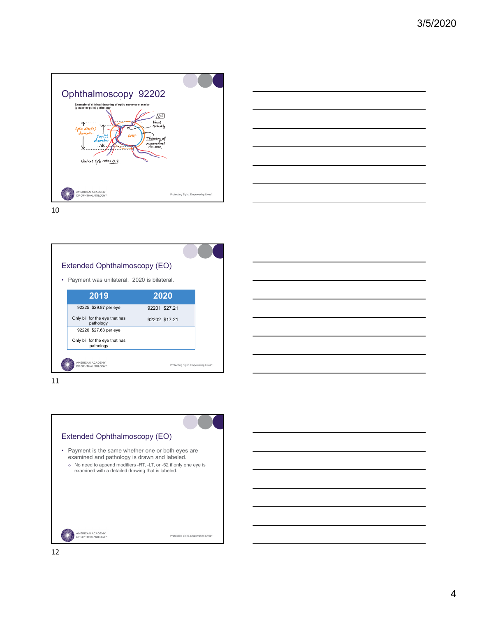





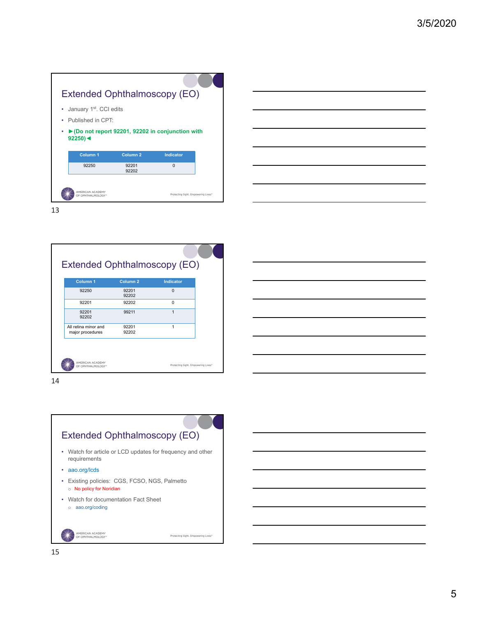## Extended Ophthalmoscopy (EO)

- January 1<sup>st</sup>. CCI edits
- Published in CPT:
- **►(Do not report 92201, 92202 in conjunction with 92250)◄**

| Column <sub>1</sub> | Column <sub>2</sub> | <b>Indicator</b>                    |  |
|---------------------|---------------------|-------------------------------------|--|
| 92250               | 92201<br>92202      | n                                   |  |
| AMERICAN ACADEMY    |                     |                                     |  |
| OF OPHTHALMOLOGY*   |                     | Protecting Sight, Empowering Lives. |  |

13

| Column <sub>1</sub>                      | Column <sub>2</sub> | <b>Indicator</b> |  |
|------------------------------------------|---------------------|------------------|--|
| 92250                                    | 92201<br>92202      | $\Omega$         |  |
| 92201                                    | 92202               | 0                |  |
| 92201<br>92202                           | 99211               | 1                |  |
| All retina minor and<br>major procedures | 92201<br>92202      | 1                |  |

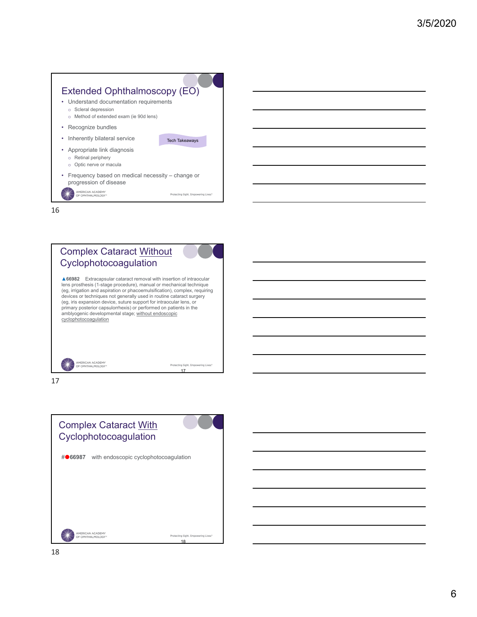



17

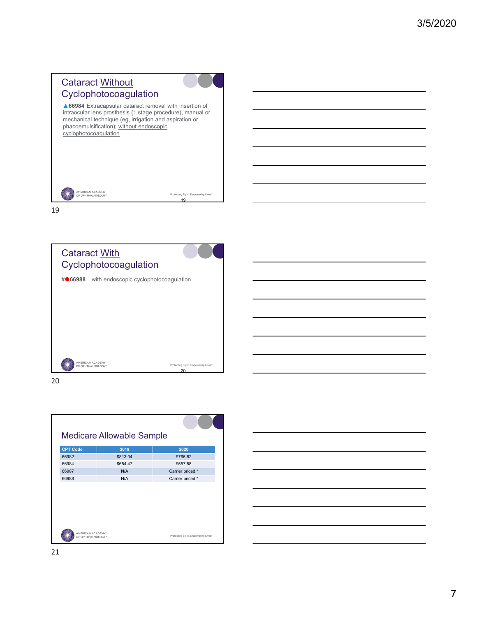# Cataract Without Cyclophotocoagulation

▲**66984** Extracapsular cataract removal with insertion of intraocular lens prosthesis (1 stage procedure), manual or mechanical technique (eg, irrigation and aspiration or phacoemulsification); without endoscopic cyclophotocoagulation

19

Protecting Sight. Empowering Lives.

|  | AMERICAN ACADEMY<br>OF OPHTHALMOLOGY* |  |
|--|---------------------------------------|--|
|--|---------------------------------------|--|

19



20



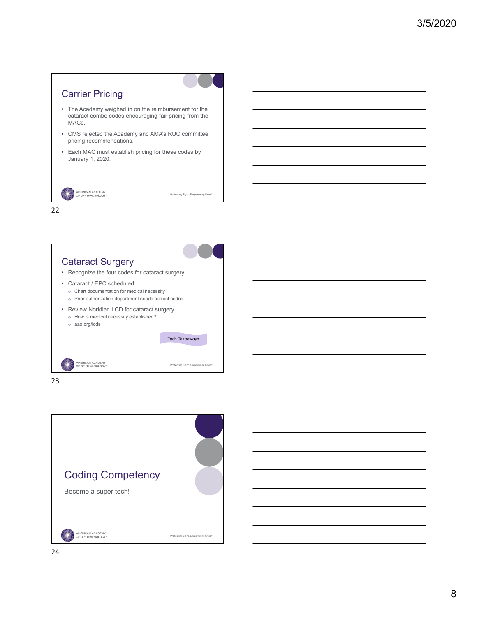



23

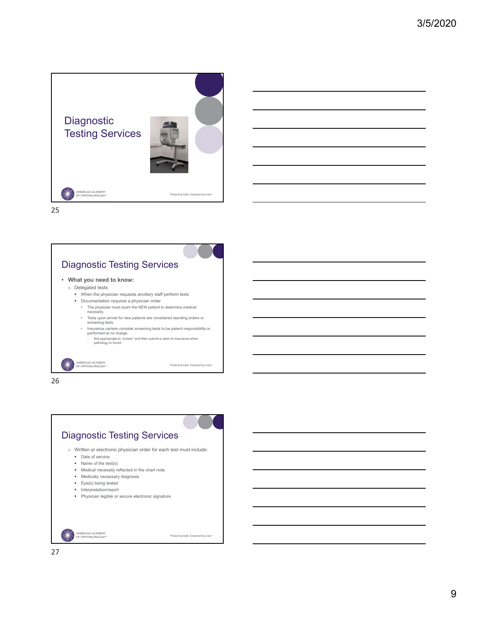





- **What you need to know:**
	- o Delegated tests

AMERICAN ACADEMY<br>OF OPHTHALMOLOGY\*

- When the physician requests ancillary staff perform tests
- Documentation requires a physician order
	- The physician must exam the NEW patient to determine medical necessity. Tests upon arrival for new patients are considered standing orders or
	- screening tests. Insurance carriers consider screening tests to be patient responsibility or performed at no charge.
	- Not appropriate to "screen" and then submit a claim to insurance when pathology is found.

Protecting Sight. Empowering Lives."



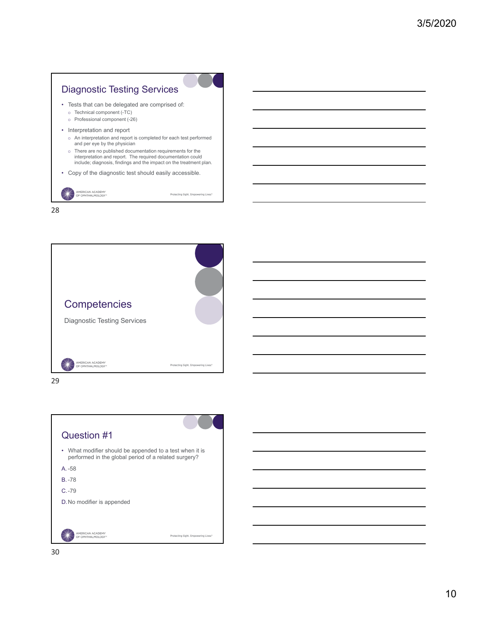





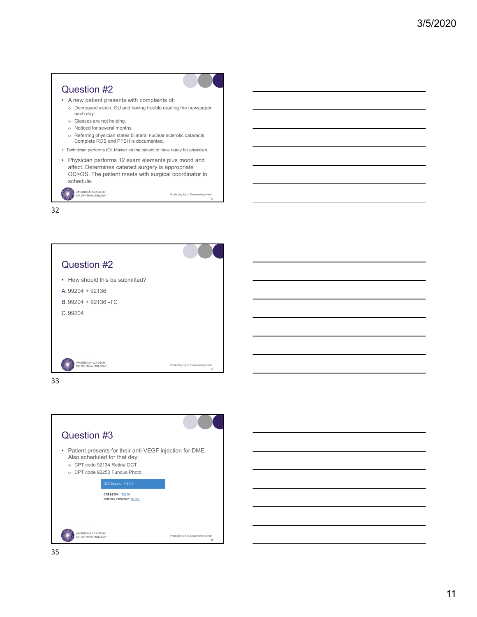## Question #2

- A new patient presents with complaints of:
	- o Decreased vision, OU and having trouble reading the newspaper each day.
	- o Glasses are not helping.
	- o Noticed for several months.
	- o Referring physician states bilateral nuclear sclerotic cataracts. Complete ROS and PFSH is documented.
- Technician performs IOL Master on the patient to have ready for physician.
- Physician performs 12 exam elements plus mood and affect. Determines cataract surgery is appropriate OD>OS. The patient meets with surgical coordinator to schedule.

Protecting Sight. Empowering Lives.<sup>\*</sup>

AMERICAN ACADEMY<br>OF OPHTHALMOLOGY\*





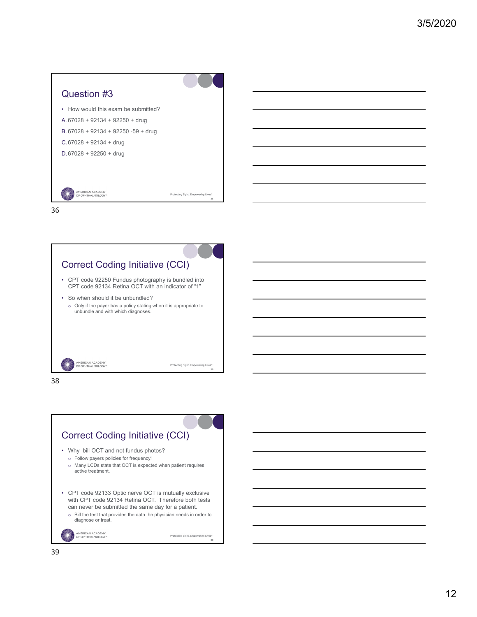



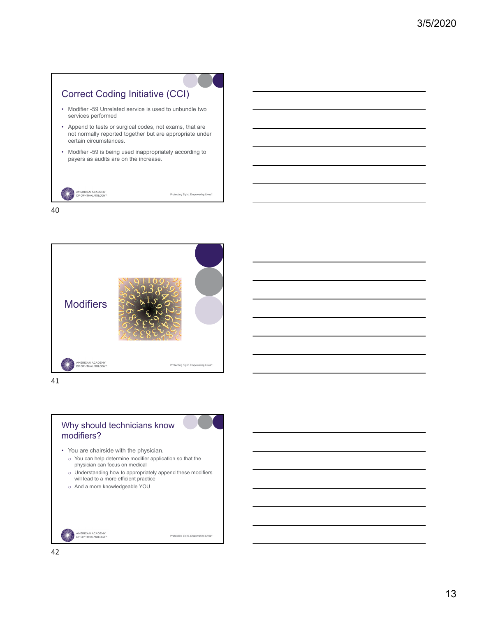



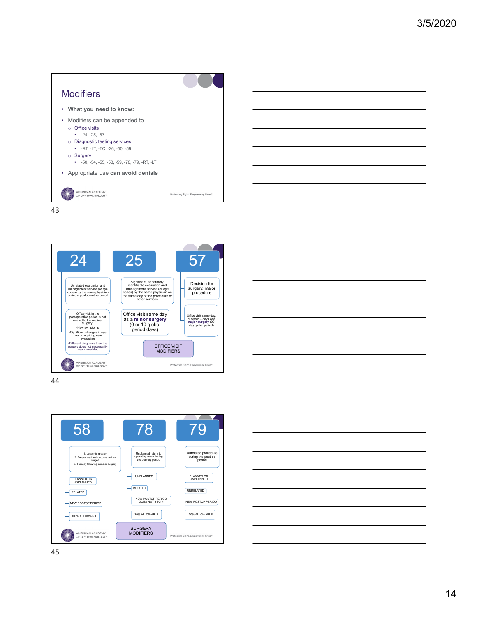





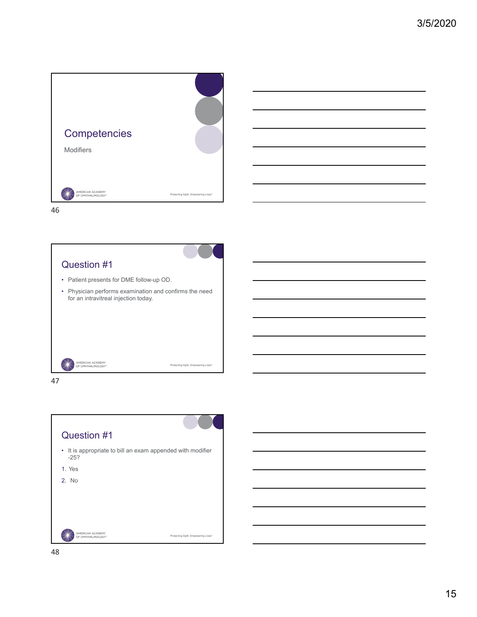



### Question #1

- Patient presents for DME follow-up OD.
- Physician performs examination and confirms the need for an intravitreal injection today.

Protecting Sight. Empowering Lives."

AMERICAN ACADEMY<br>OF OPHTHALMOLOGY\*



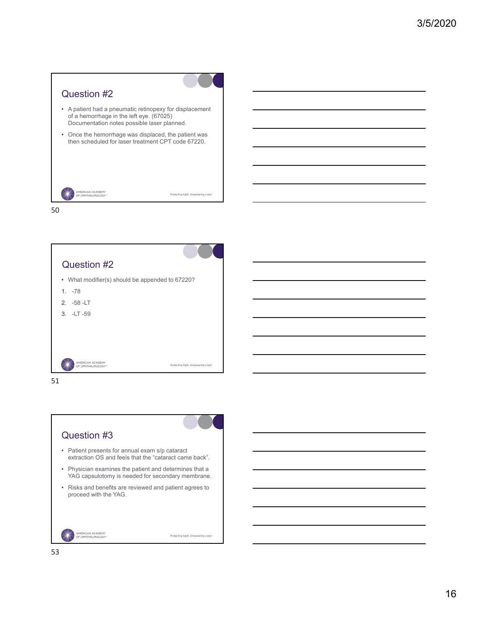



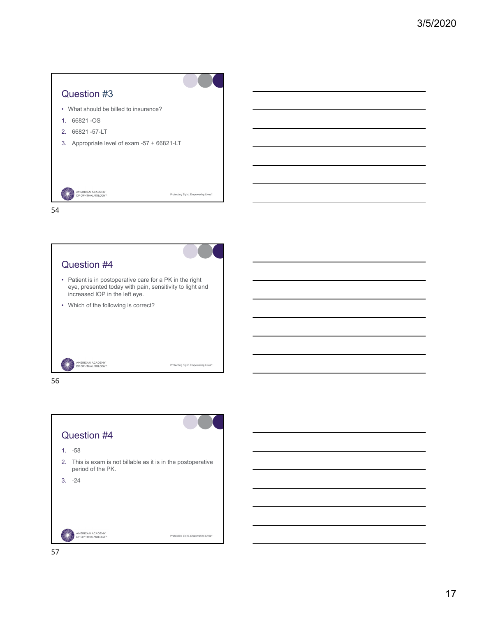





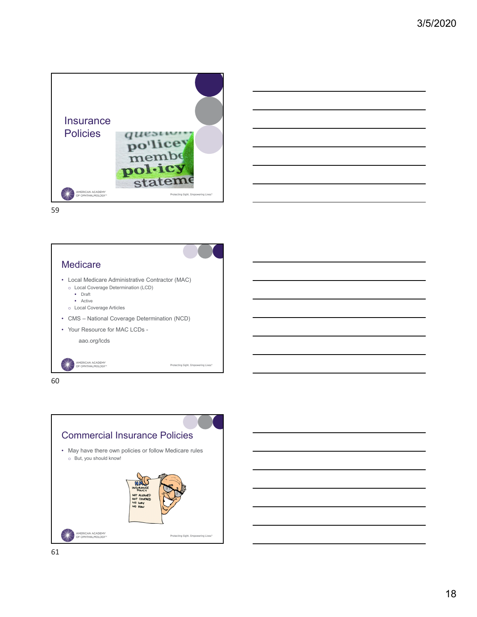





• Local Medicare Administrative Contractor (MAC) o Local Coverage Determination (LCD)

- Draft
- Active
- o Local Coverage Articles
- CMS National Coverage Determination (NCD)

Protecting Sight. Empowering Lives.<sup>\*</sup>

• Your Resource for MAC LCDs -

aao.org/lcds

AMERICAN ACADEMY<br>OF OPHTHALMOLOGY\*



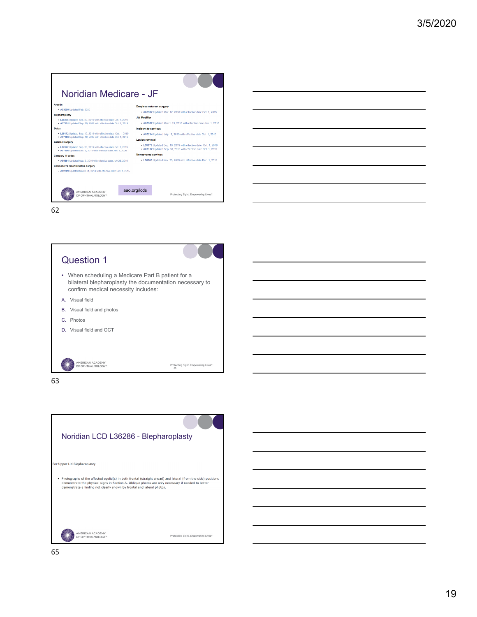







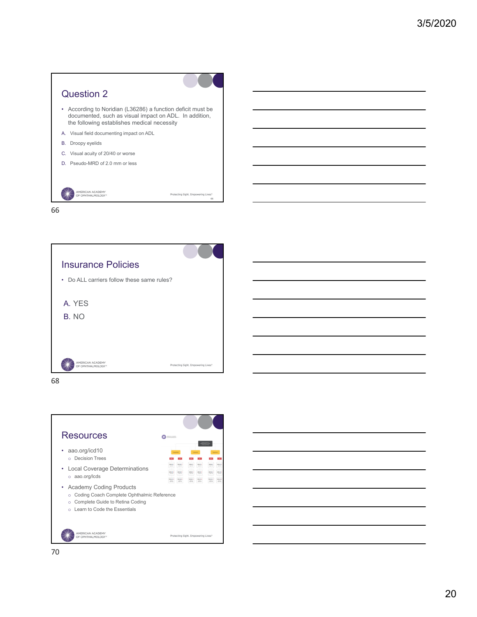







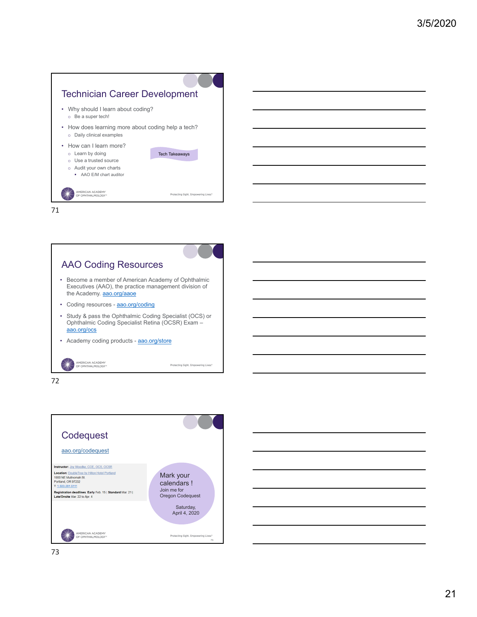